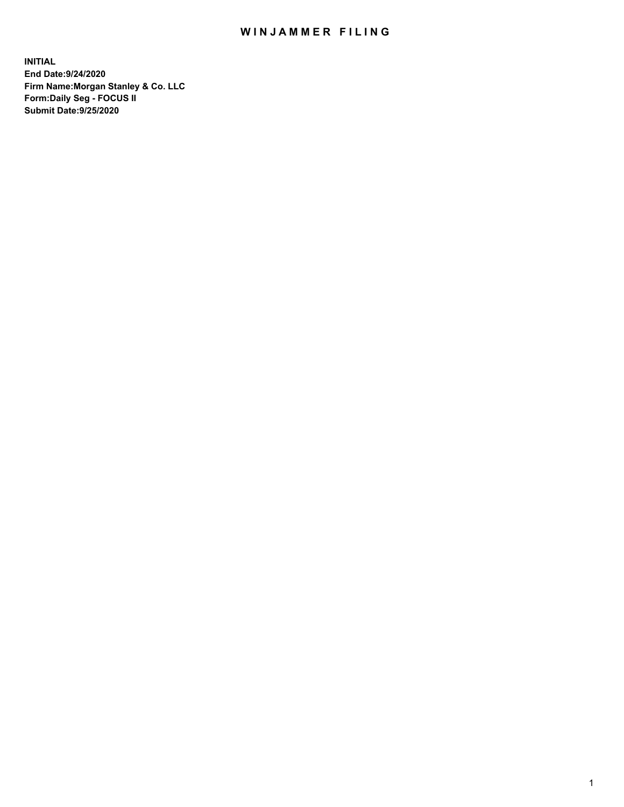## WIN JAMMER FILING

**INITIAL End Date:9/24/2020 Firm Name:Morgan Stanley & Co. LLC Form:Daily Seg - FOCUS II Submit Date:9/25/2020**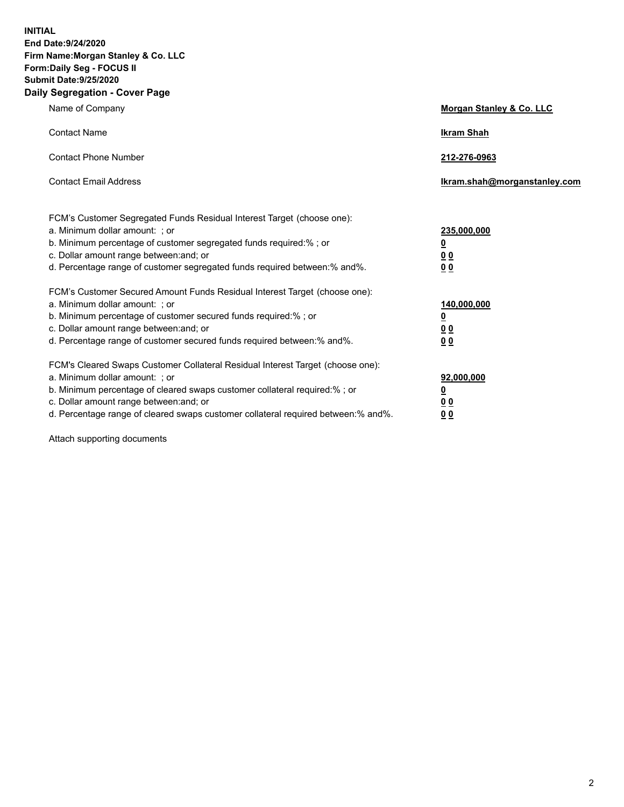**INITIAL End Date:9/24/2020 Firm Name:Morgan Stanley & Co. LLC Form:Daily Seg - FOCUS II Submit Date:9/25/2020 Daily Segregation - Cover Page**

| Name of Company                                                                                                                                                                                                                                                                                                                | Morgan Stanley & Co. LLC                                    |
|--------------------------------------------------------------------------------------------------------------------------------------------------------------------------------------------------------------------------------------------------------------------------------------------------------------------------------|-------------------------------------------------------------|
| <b>Contact Name</b>                                                                                                                                                                                                                                                                                                            | <b>Ikram Shah</b>                                           |
| <b>Contact Phone Number</b>                                                                                                                                                                                                                                                                                                    | 212-276-0963                                                |
| <b>Contact Email Address</b>                                                                                                                                                                                                                                                                                                   | Ikram.shah@morganstanley.com                                |
| FCM's Customer Segregated Funds Residual Interest Target (choose one):<br>a. Minimum dollar amount: ; or<br>b. Minimum percentage of customer segregated funds required:% ; or<br>c. Dollar amount range between: and; or<br>d. Percentage range of customer segregated funds required between:% and%.                         | 235,000,000<br><u>0</u><br><u>00</u><br>00                  |
| FCM's Customer Secured Amount Funds Residual Interest Target (choose one):<br>a. Minimum dollar amount: ; or<br>b. Minimum percentage of customer secured funds required:%; or<br>c. Dollar amount range between: and; or<br>d. Percentage range of customer secured funds required between: % and %.                          | 140,000,000<br><u>0</u><br>0 <sub>0</sub><br>0 <sub>0</sub> |
| FCM's Cleared Swaps Customer Collateral Residual Interest Target (choose one):<br>a. Minimum dollar amount: ; or<br>b. Minimum percentage of cleared swaps customer collateral required:% ; or<br>c. Dollar amount range between: and; or<br>d. Percentage range of cleared swaps customer collateral required between:% and%. | 92,000,000<br><u>0</u><br><u>00</u><br>00                   |

Attach supporting documents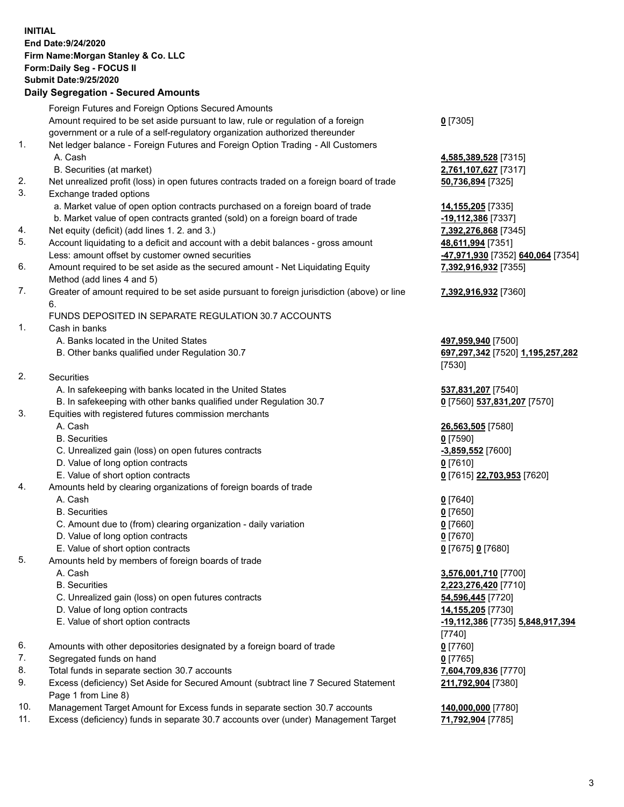## **INITIAL End Date:9/24/2020 Firm Name:Morgan Stanley & Co. LLC Form:Daily Seg - FOCUS II Submit Date:9/25/2020 Daily Segregation - Secured Amounts**

|                | Foreign Futures and Foreign Options Secured Amounts                                                          |                                             |
|----------------|--------------------------------------------------------------------------------------------------------------|---------------------------------------------|
|                | Amount required to be set aside pursuant to law, rule or regulation of a foreign                             | $0$ [7305]                                  |
|                | government or a rule of a self-regulatory organization authorized thereunder                                 |                                             |
| 1.             | Net ledger balance - Foreign Futures and Foreign Option Trading - All Customers                              |                                             |
|                | A. Cash                                                                                                      | 4,585,389,528 [7315]                        |
|                | B. Securities (at market)                                                                                    | 2,761,107,627 [7317]                        |
| 2.             | Net unrealized profit (loss) in open futures contracts traded on a foreign board of trade                    | 50,736,894 [7325]                           |
| 3.             | Exchange traded options                                                                                      |                                             |
|                | a. Market value of open option contracts purchased on a foreign board of trade                               | 14,155,205 [7335]                           |
|                | b. Market value of open contracts granted (sold) on a foreign board of trade                                 | -19,112,386 [7337]                          |
| 4.             | Net equity (deficit) (add lines 1.2. and 3.)                                                                 | 7,392,276,868 [7345]                        |
| 5.             | Account liquidating to a deficit and account with a debit balances - gross amount                            | 48,611,994 [7351]                           |
|                |                                                                                                              |                                             |
| 6.             | Less: amount offset by customer owned securities                                                             | -47,971,930 [7352] 640,064 [7354]           |
|                | Amount required to be set aside as the secured amount - Net Liquidating Equity<br>Method (add lines 4 and 5) | 7,392,916,932 [7355]                        |
| 7.             | Greater of amount required to be set aside pursuant to foreign jurisdiction (above) or line                  | 7,392,916,932 [7360]                        |
|                | 6.                                                                                                           |                                             |
|                | FUNDS DEPOSITED IN SEPARATE REGULATION 30.7 ACCOUNTS                                                         |                                             |
| $\mathbf{1}$ . | Cash in banks                                                                                                |                                             |
|                | A. Banks located in the United States                                                                        | 497,959,940 [7500]                          |
|                | B. Other banks qualified under Regulation 30.7                                                               | 697,297,342 [7520] 1,195,257,282            |
|                |                                                                                                              | [7530]                                      |
| 2.             | Securities                                                                                                   |                                             |
|                | A. In safekeeping with banks located in the United States                                                    | 537,831,207 [7540]                          |
|                | B. In safekeeping with other banks qualified under Regulation 30.7                                           | 0 [7560] 537,831,207 [7570]                 |
| 3.             | Equities with registered futures commission merchants                                                        |                                             |
|                | A. Cash                                                                                                      | 26,563,505 [7580]                           |
|                | <b>B.</b> Securities                                                                                         | $0$ [7590]                                  |
|                | C. Unrealized gain (loss) on open futures contracts                                                          | $-3,859,552$ [7600]                         |
|                | D. Value of long option contracts                                                                            | $0$ [7610]                                  |
|                | E. Value of short option contracts                                                                           | 0 [7615] 22,703,953 [7620]                  |
| 4.             | Amounts held by clearing organizations of foreign boards of trade                                            |                                             |
|                | A. Cash                                                                                                      | $0$ [7640]                                  |
|                | <b>B.</b> Securities                                                                                         | $0$ [7650]                                  |
|                | C. Amount due to (from) clearing organization - daily variation                                              | $0$ [7660]                                  |
|                | D. Value of long option contracts                                                                            | $0$ [7670]                                  |
|                | E. Value of short option contracts                                                                           | 0 [7675] 0 [7680]                           |
| 5.             | Amounts held by members of foreign boards of trade                                                           |                                             |
|                | A. Cash                                                                                                      | 3,576,001,710 [7700]                        |
|                | <b>B.</b> Securities                                                                                         | 2,223,276,420 [7710]                        |
|                | C. Unrealized gain (loss) on open futures contracts                                                          | 54,596,445 [7720]                           |
|                | D. Value of long option contracts                                                                            | 14,155,205 [7730]                           |
|                | E. Value of short option contracts                                                                           | -19,112,386 [7735] 5,848,917,394            |
|                |                                                                                                              | [7740]                                      |
| 6.             | Amounts with other depositories designated by a foreign board of trade                                       | 0 [7760]                                    |
| 7.             | Segregated funds on hand                                                                                     |                                             |
| 8.             | Total funds in separate section 30.7 accounts                                                                | $0$ [7765]                                  |
| 9.             |                                                                                                              | 7,604,709,836 [7770]                        |
|                | Excess (deficiency) Set Aside for Secured Amount (subtract line 7 Secured Statement                          | 211,792,904 [7380]                          |
| $10^{-1}$      | Page 1 from Line 8)<br>$\mu$ t Amerikal Eusese finde in expende eastien 20.7 access                          | $\overline{AB}$ and and $\overline{177001}$ |

- 10. Management Target Amount for Excess funds in separate section 30.7 accounts **140,000,000** [7780]
- 11. Excess (deficiency) funds in separate 30.7 accounts over (under) Management Target **71,792,904** [7785]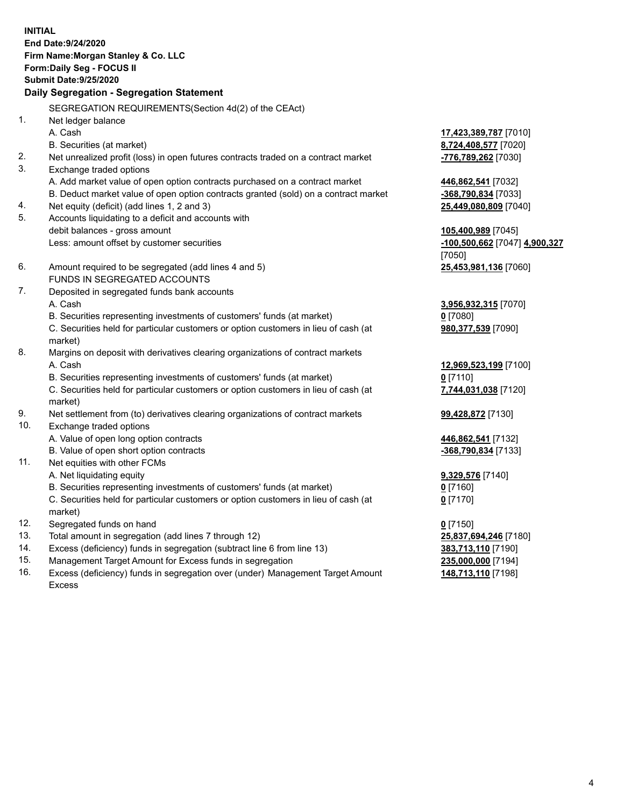**INITIAL End Date:9/24/2020 Firm Name:Morgan Stanley & Co. LLC Form:Daily Seg - FOCUS II Submit Date:9/25/2020 Daily Segregation - Segregation Statement** SEGREGATION REQUIREMENTS(Section 4d(2) of the CEAct) 1. Net ledger balance A. Cash **17,423,389,787** [7010] B. Securities (at market) **8,724,408,577** [7020] 2. Net unrealized profit (loss) in open futures contracts traded on a contract market **-776,789,262** [7030] 3. Exchange traded options A. Add market value of open option contracts purchased on a contract market **446,862,541** [7032] B. Deduct market value of open option contracts granted (sold) on a contract market **-368,790,834** [7033] 4. Net equity (deficit) (add lines 1, 2 and 3) **25,449,080,809** [7040] 5. Accounts liquidating to a deficit and accounts with debit balances - gross amount **105,400,989** [7045] Less: amount offset by customer securities **-100,500,662** [7047] **4,900,327** [7050] 6. Amount required to be segregated (add lines 4 and 5) **25,453,981,136** [7060] FUNDS IN SEGREGATED ACCOUNTS 7. Deposited in segregated funds bank accounts A. Cash **3,956,932,315** [7070] B. Securities representing investments of customers' funds (at market) **0** [7080] C. Securities held for particular customers or option customers in lieu of cash (at market) **980,377,539** [7090] 8. Margins on deposit with derivatives clearing organizations of contract markets A. Cash **12,969,523,199** [7100] B. Securities representing investments of customers' funds (at market) **0** [7110] C. Securities held for particular customers or option customers in lieu of cash (at market) **7,744,031,038** [7120] 9. Net settlement from (to) derivatives clearing organizations of contract markets **99,428,872** [7130] 10. Exchange traded options A. Value of open long option contracts **446,862,541** [7132] B. Value of open short option contracts **-368,790,834** [7133] 11. Net equities with other FCMs A. Net liquidating equity **9,329,576** [7140] B. Securities representing investments of customers' funds (at market) **0** [7160] C. Securities held for particular customers or option customers in lieu of cash (at market) **0** [7170] 12. Segregated funds on hand **0** [7150] 13. Total amount in segregation (add lines 7 through 12) **25,837,694,246** [7180] 14. Excess (deficiency) funds in segregation (subtract line 6 from line 13) **383,713,110** [7190]

- 15. Management Target Amount for Excess funds in segregation **235,000,000** [7194]
- 16. Excess (deficiency) funds in segregation over (under) Management Target Amount Excess

**148,713,110** [7198]